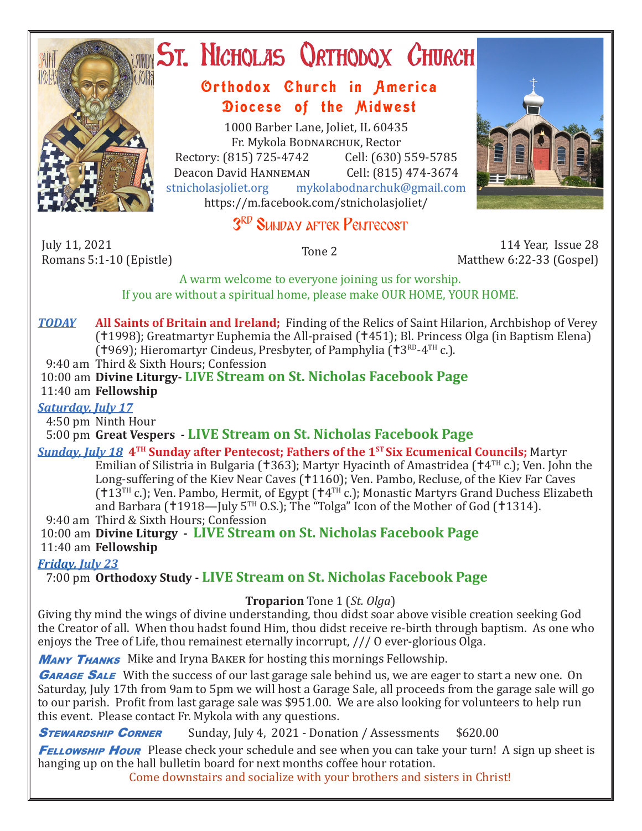

# **ST. NICHOLAS QRTHODOX CHURCH**

## Orthodox Church in America Diocese of the Midwest

1000 Barber Lane, Joliet, IL 60435 Fr. Mykola Bodnarchuk, Rector Rectory: (815) 725-4742 Cell: (630) 559-5785<br>Deacon David HANNEMAN Cell: (815) 474-3674 Deacon David HANNEMAN<br>stnicholasioliet.org mvk mykolabodnarchuk@gmail.com https://m.facebook.com/stnicholasjoliet/

# 3<sup>RD</sup> SUNDAY AFTER PENTECOST

July 11, 2021

Romans 5:1-10 (Epistle) Tone 2 114 Year, Issue 28 Matthew 6:22-33 (Gospel)

A warm welcome to everyone joining us for worship. If you are without a spiritual home, please make OUR HOME, YOUR HOME.

*TODAY* **All Saints of Britain and Ireland;** Finding of the Relics of Saint Hilarion, Archbishop of Verey (1998); Greatmartyr Euphemia the All-praised (451); Bl. Princess Olga (in Baptism Elena) (†969); Hieromartyr Cindeus, Presbyter, of Pamphylia († $3^{RD-4}$ <sup>TH</sup> c.).

9:40 am Third & Sixth Hours; Confession

10:00 am **Divine Liturgy- LIVE Stream on St. Nicholas Facebook Page**

11:40 am **Fellowship**

## *Saturday, July 17*

4:50 pm Ninth Hour

5:00 pm **Great Vespers - LIVE Stream on St. Nicholas Facebook Page**

## **Sunday, July 18 4<sup>TH</sup> Sunday after Pentecost; Fathers of the 1<sup>ST</sup> Six Ecumenical Councils; Martyr** Emilian of Silistria in Bulgaria ( $\pm 363$ ); Martyr Hyacinth of Amastridea ( $\pm 4$ <sup>TH</sup> c.); Ven. John the Long-suffering of the Kiev Near Caves (†1160); Ven. Pambo, Recluse, of the Kiev Far Caves ( $13<sup>TH</sup>$  c.); Ven. Pambo, Hermit, of Egypt ( $14<sup>TH</sup>$  c.); Monastic Martyrs Grand Duchess Elizabeth and Barbara ( $1918$ —July  $5<sup>TH</sup>$  O.S.); The "Tolga" Icon of the Mother of God ( $1314$ ).

9:40 am Third & Sixth Hours; Confession

10:00 am **Divine Liturgy - LIVE Stream on St. Nicholas Facebook Page**

11:40 am **Fellowship**

*Friday, July 23* 

7:00 pm **Orthodoxy Study - LIVE Stream on St. Nicholas Facebook Page**

## **Troparion** Tone 1 (*St. Olga*)

Giving thy mind the wings of divine understanding, thou didst soar above visible creation seeking God the Creator of all. When thou hadst found Him, thou didst receive re-birth through baptism. As one who enjoys the Tree of Life, thou remainest eternally incorrupt, /// O ever-glorious Olga.

**MANY THANKS** Mike and Iryna BAKER for hosting this mornings Fellowship.

**GARAGE SALE** With the success of our last garage sale behind us, we are eager to start a new one. On Saturday, July 17th from 9am to 5pm we will host a Garage Sale, all proceeds from the garage sale will go to our parish. Profit from last garage sale was \$951.00. We are also looking for volunteers to help run this event. Please contact Fr. Mykola with any questions.

**STEWARDSHIP CORNER** Sunday, July 4, 2021 - Donation / Assessments \$620.00

**FELLOWSHIP HOUR** Please check your schedule and see when you can take your turn! A sign up sheet is hanging up on the hall bulletin board for next months coffee hour rotation.

Come downstairs and socialize with your brothers and sisters in Christ!